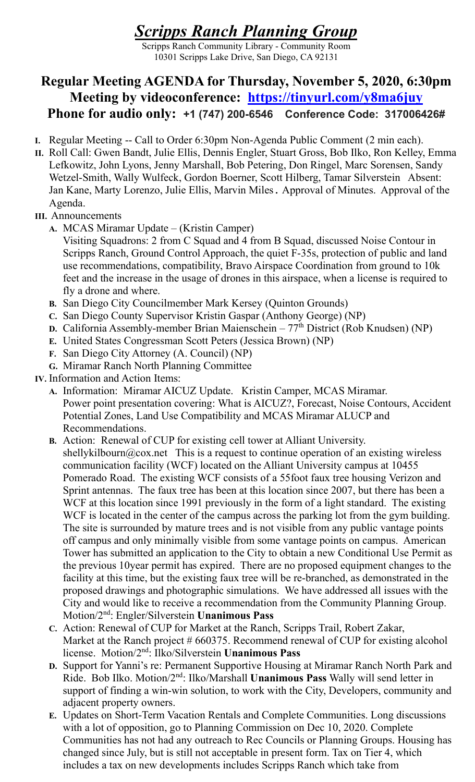## Scripps Ranch Planning Group

Scripps Ranch Community Library - Community Room 10301 Scripps Lake Drive, San Diego, CA 92131

## Regular Meeting AGENDA for Thursday, November 5, 2020, 6:30pm Meeting by videoconference: https://tinyurl.com/y8ma6juy Phone for audio only: +1 (747) 200-6546 Conference Code: 317006426#

- I. Regular Meeting -- Call to Order 6:30pm Non-Agenda Public Comment (2 min each).
- II. Roll Call: Gwen Bandt, Julie Ellis, Dennis Engler, Stuart Gross, Bob Ilko, Ron Kelley, Emma Lefkowitz, John Lyons, Jenny Marshall, Bob Petering, Don Ringel, Marc Sorensen, Sandy Wetzel-Smith, Wally Wulfeck, Gordon Boerner, Scott Hilberg, Tamar Silverstein Absent: Jan Kane, Marty Lorenzo, Julie Ellis, Marvin Miles. Approval of Minutes. Approval of the Agenda.
- III. Announcements
	- A. MCAS Miramar Update (Kristin Camper)
		- Visiting Squadrons: 2 from C Squad and 4 from B Squad, discussed Noise Contour in Scripps Ranch, Ground Control Approach, the quiet F-35s, protection of public and land use recommendations, compatibility, Bravo Airspace Coordination from ground to 10k feet and the increase in the usage of drones in this airspace, when a license is required to fly a drone and where.
	- B. San Diego City Councilmember Mark Kersey (Quinton Grounds)
	- C. San Diego County Supervisor Kristin Gaspar (Anthony George) (NP)
	- D. California Assembly-member Brian Maienschein 77<sup>th</sup> District (Rob Knudsen) (NP)
	- E. United States Congressman Scott Peters (Jessica Brown) (NP)
	- F. San Diego City Attorney (A. Council) (NP)
	- G. Miramar Ranch North Planning Committee
- IV. Information and Action Items:
	- A. Information: Miramar AICUZ Update. Kristin Camper, MCAS Miramar. Power point presentation covering: What is AICUZ?, Forecast, Noise Contours, Accident Potential Zones, Land Use Compatibility and MCAS Miramar ALUCP and Recommendations.
	- B. Action: Renewal of CUP for existing cell tower at Alliant University. shellykilbourn@cox.net This is a request to continue operation of an existing wireless communication facility (WCF) located on the Alliant University campus at 10455 Pomerado Road. The existing WCF consists of a 55foot faux tree housing Verizon and Sprint antennas. The faux tree has been at this location since 2007, but there has been a WCF at this location since 1991 previously in the form of a light standard. The existing WCF is located in the center of the campus across the parking lot from the gym building. The site is surrounded by mature trees and is not visible from any public vantage points off campus and only minimally visible from some vantage points on campus. American Tower has submitted an application to the City to obtain a new Conditional Use Permit as the previous 10year permit has expired. There are no proposed equipment changes to the facility at this time, but the existing faux tree will be re-branched, as demonstrated in the proposed drawings and photographic simulations. We have addressed all issues with the City and would like to receive a recommendation from the Community Planning Group. Motion/2nd: Engler/Silverstein Unanimous Pass
	- C. Action: Renewal of CUP for Market at the Ranch, Scripps Trail, Robert Zakar, Market at the Ranch project # 660375. Recommend renewal of CUP for existing alcohol license. Motion/2nd: Ilko/Silverstein Unanimous Pass
	- D. Support for Yanni's re: Permanent Supportive Housing at Miramar Ranch North Park and Ride. Bob Ilko. Motion/2<sup>nd</sup>: Ilko/Marshall Unanimous Pass Wally will send letter in support of finding a win-win solution, to work with the City, Developers, community and adjacent property owners.
	- E. Updates on Short-Term Vacation Rentals and Complete Communities. Long discussions with a lot of opposition, go to Planning Commission on Dec 10, 2020. Complete Communities has not had any outreach to Rec Councils or Planning Groups. Housing has changed since July, but is still not acceptable in present form. Tax on Tier 4, which includes a tax on new developments includes Scripps Ranch which take from